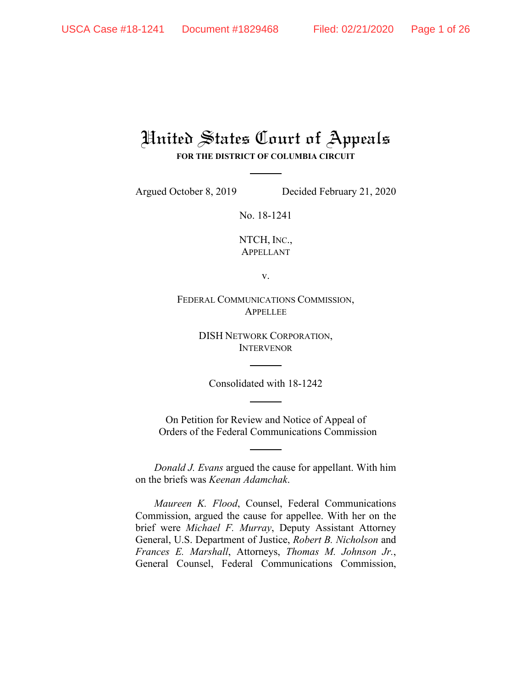# United States Court of Appeals **FOR THE DISTRICT OF COLUMBIA CIRCUIT**

Argued October 8, 2019 Decided February 21, 2020

No. 18-1241

NTCH, INC., APPELLANT

v.

FEDERAL COMMUNICATIONS COMMISSION, APPELLEE

> DISH NETWORK CORPORATION, INTERVENOR

Consolidated with 18-1242

On Petition for Review and Notice of Appeal of Orders of the Federal Communications Commission

*Donald J. Evans* argued the cause for appellant. With him on the briefs was *Keenan Adamchak*.

*Maureen K. Flood*, Counsel, Federal Communications Commission, argued the cause for appellee. With her on the brief were *Michael F. Murray*, Deputy Assistant Attorney General, U.S. Department of Justice, *Robert B. Nicholson* and *Frances E. Marshall*, Attorneys, *Thomas M. Johnson Jr.*, General Counsel, Federal Communications Commission,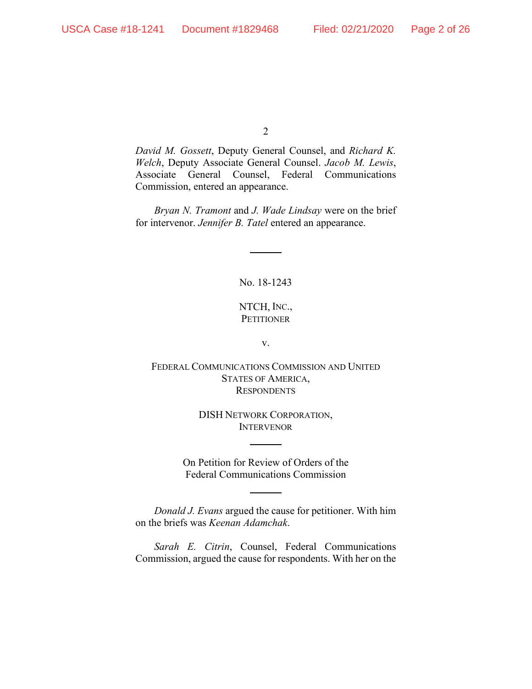*David M. Gossett*, Deputy General Counsel, and *Richard K. Welch*, Deputy Associate General Counsel. *Jacob M. Lewis*, Associate General Counsel, Federal Communications Commission, entered an appearance.

*Bryan N. Tramont* and *J. Wade Lindsay* were on the brief for intervenor. *Jennifer B. Tatel* entered an appearance.

No. 18-1243

## NTCH, INC., **PETITIONER**

v.

FEDERAL COMMUNICATIONS COMMISSION AND UNITED STATES OF AMERICA, **RESPONDENTS** 

> DISH NETWORK CORPORATION, **INTERVENOR**

On Petition for Review of Orders of the Federal Communications Commission

*Donald J. Evans* argued the cause for petitioner. With him on the briefs was *Keenan Adamchak*.

*Sarah E. Citrin*, Counsel, Federal Communications Commission, argued the cause for respondents. With her on the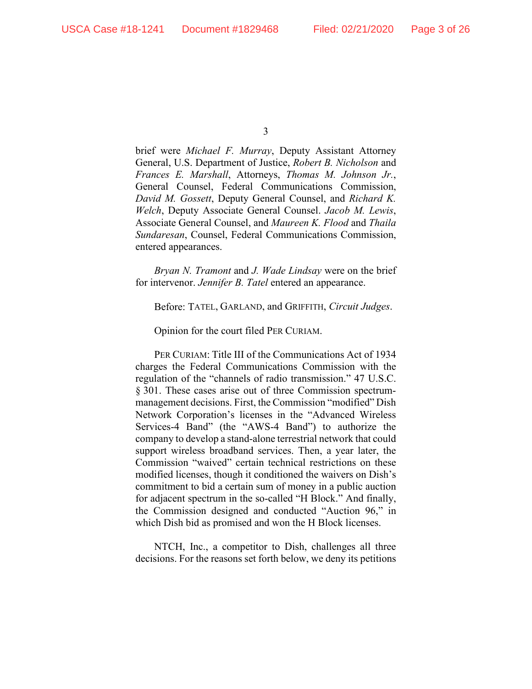brief were *Michael F. Murray*, Deputy Assistant Attorney General, U.S. Department of Justice, *Robert B. Nicholson* and *Frances E. Marshall*, Attorneys, *Thomas M. Johnson Jr.*, General Counsel, Federal Communications Commission, *David M. Gossett*, Deputy General Counsel, and *Richard K. Welch*, Deputy Associate General Counsel. *Jacob M. Lewis*, Associate General Counsel, and *Maureen K. Flood* and *Thaila Sundaresan*, Counsel, Federal Communications Commission, entered appearances.

*Bryan N. Tramont* and *J. Wade Lindsay* were on the brief for intervenor. *Jennifer B. Tatel* entered an appearance.

Before: TATEL, GARLAND, and GRIFFITH, *Circuit Judges*.

Opinion for the court filed PER CURIAM.

PER CURIAM: Title III of the Communications Act of 1934 charges the Federal Communications Commission with the regulation of the "channels of radio transmission." 47 U.S.C. § 301. These cases arise out of three Commission spectrummanagement decisions. First, the Commission "modified" Dish Network Corporation's licenses in the "Advanced Wireless Services-4 Band" (the "AWS-4 Band") to authorize the company to develop a stand-alone terrestrial network that could support wireless broadband services. Then, a year later, the Commission "waived" certain technical restrictions on these modified licenses, though it conditioned the waivers on Dish's commitment to bid a certain sum of money in a public auction for adjacent spectrum in the so-called "H Block." And finally, the Commission designed and conducted "Auction 96," in which Dish bid as promised and won the H Block licenses.

NTCH, Inc., a competitor to Dish, challenges all three decisions. For the reasons set forth below, we deny its petitions

<sup>3</sup>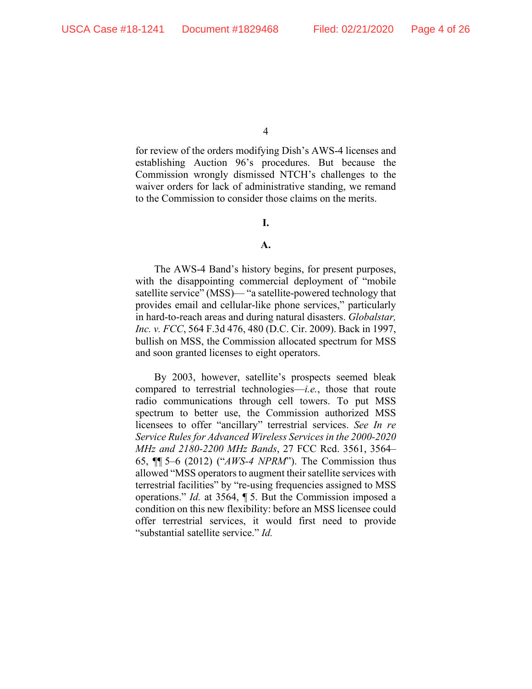for review of the orders modifying Dish's AWS-4 licenses and establishing Auction 96's procedures. But because the Commission wrongly dismissed NTCH's challenges to the waiver orders for lack of administrative standing, we remand to the Commission to consider those claims on the merits.

## **I.**

## **A.**

The AWS-4 Band's history begins, for present purposes, with the disappointing commercial deployment of "mobile" satellite service" (MSS)— "a satellite-powered technology that provides email and cellular-like phone services," particularly in hard-to-reach areas and during natural disasters. *Globalstar, Inc. v. FCC*, 564 F.3d 476, 480 (D.C. Cir. 2009). Back in 1997, bullish on MSS, the Commission allocated spectrum for MSS and soon granted licenses to eight operators.

By 2003, however, satellite's prospects seemed bleak compared to terrestrial technologies—*i.e.*, those that route radio communications through cell towers. To put MSS spectrum to better use, the Commission authorized MSS licensees to offer "ancillary" terrestrial services. *See In re Service Rules for Advanced Wireless Services in the 2000-2020 MHz and 2180-2200 MHz Bands*, 27 FCC Rcd. 3561, 3564– 65, ¶¶ 5–6 (2012) ("*AWS-4 NPRM*"). The Commission thus allowed "MSS operators to augment their satellite services with terrestrial facilities" by "re-using frequencies assigned to MSS operations." *Id.* at 3564, ¶ 5. But the Commission imposed a condition on this new flexibility: before an MSS licensee could offer terrestrial services, it would first need to provide "substantial satellite service." *Id.*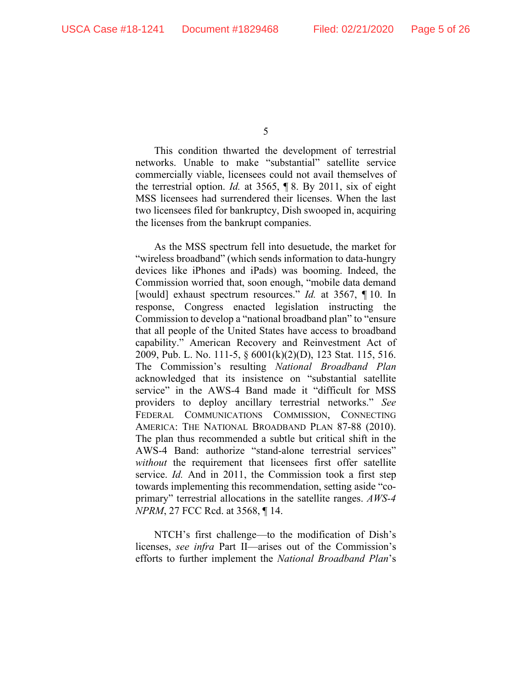This condition thwarted the development of terrestrial networks. Unable to make "substantial" satellite service commercially viable, licensees could not avail themselves of the terrestrial option. *Id.* at 3565, ¶ 8. By 2011, six of eight MSS licensees had surrendered their licenses. When the last two licensees filed for bankruptcy, Dish swooped in, acquiring the licenses from the bankrupt companies.

As the MSS spectrum fell into desuetude, the market for "wireless broadband" (which sends information to data-hungry devices like iPhones and iPads) was booming. Indeed, the Commission worried that, soon enough, "mobile data demand [would] exhaust spectrum resources." *Id.* at 3567, ¶ 10. In response, Congress enacted legislation instructing the Commission to develop a "national broadband plan" to "ensure that all people of the United States have access to broadband capability." American Recovery and Reinvestment Act of 2009, Pub. L. No. 111-5, § 6001(k)(2)(D), 123 Stat. 115, 516. The Commission's resulting *National Broadband Plan* acknowledged that its insistence on "substantial satellite service" in the AWS-4 Band made it "difficult for MSS providers to deploy ancillary terrestrial networks." *See*  FEDERAL COMMUNICATIONS COMMISSION, CONNECTING AMERICA: THE NATIONAL BROADBAND PLAN 87-88 (2010). The plan thus recommended a subtle but critical shift in the AWS-4 Band: authorize "stand-alone terrestrial services" *without* the requirement that licensees first offer satellite service. *Id.* And in 2011, the Commission took a first step towards implementing this recommendation, setting aside "coprimary" terrestrial allocations in the satellite ranges. *AWS-4 NPRM*, 27 FCC Rcd. at 3568, ¶ 14.

NTCH's first challenge—to the modification of Dish's licenses, *see infra* Part II—arises out of the Commission's efforts to further implement the *National Broadband Plan*'s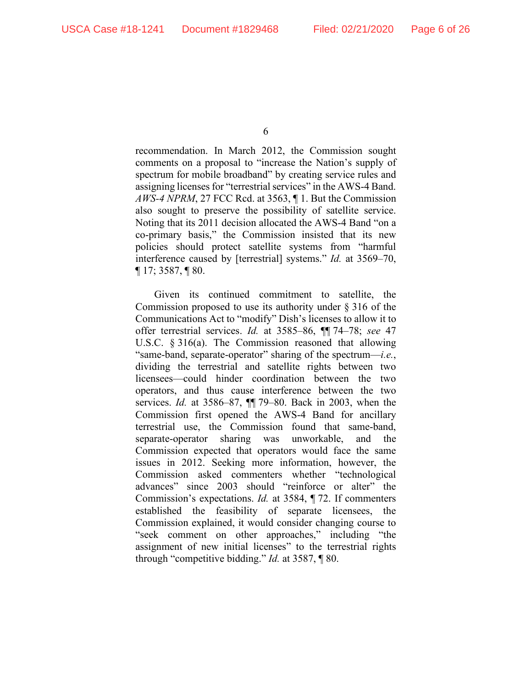recommendation. In March 2012, the Commission sought comments on a proposal to "increase the Nation's supply of spectrum for mobile broadband" by creating service rules and assigning licenses for "terrestrial services" in the AWS-4 Band. *AWS-4 NPRM*, 27 FCC Rcd. at 3563, ¶ 1. But the Commission also sought to preserve the possibility of satellite service. Noting that its 2011 decision allocated the AWS-4 Band "on a co-primary basis," the Commission insisted that its new policies should protect satellite systems from "harmful interference caused by [terrestrial] systems." *Id.* at 3569–70, ¶ 17; 3587, ¶ 80.

Given its continued commitment to satellite, the Commission proposed to use its authority under § 316 of the Communications Act to "modify" Dish's licenses to allow it to offer terrestrial services. *Id.* at 3585–86, ¶¶ 74–78; *see* 47 U.S.C. § 316(a). The Commission reasoned that allowing "same-band, separate-operator" sharing of the spectrum—*i.e.*, dividing the terrestrial and satellite rights between two licensees—could hinder coordination between the two operators, and thus cause interference between the two services. *Id.* at 3586–87, ¶¶ 79–80. Back in 2003, when the Commission first opened the AWS-4 Band for ancillary terrestrial use, the Commission found that same-band, separate-operator sharing was unworkable, and the Commission expected that operators would face the same issues in 2012. Seeking more information, however, the Commission asked commenters whether "technological advances" since 2003 should "reinforce or alter" the Commission's expectations. *Id.* at 3584, ¶ 72. If commenters established the feasibility of separate licensees, the Commission explained, it would consider changing course to "seek comment on other approaches," including "the assignment of new initial licenses" to the terrestrial rights through "competitive bidding." *Id.* at 3587, ¶ 80.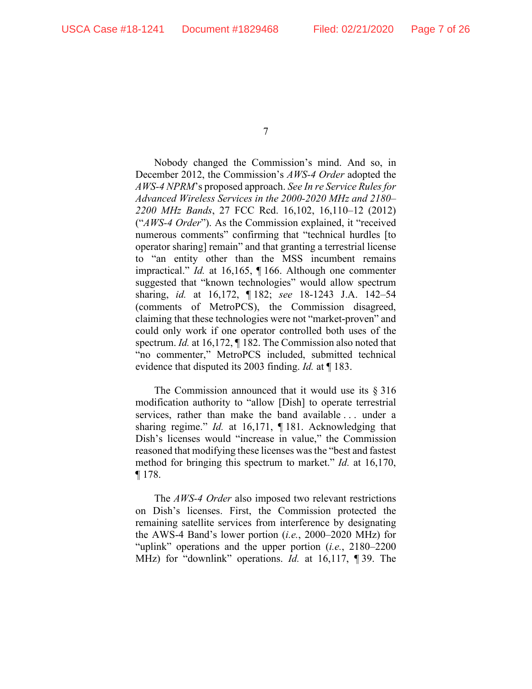Nobody changed the Commission's mind. And so, in December 2012, the Commission's *AWS-4 Order* adopted the *AWS-4 NPRM*'s proposed approach. *See In re Service Rules for Advanced Wireless Services in the 2000-2020 MHz and 2180– 2200 MHz Bands*, 27 FCC Rcd. 16,102, 16,110–12 (2012) ("*AWS-4 Order*"). As the Commission explained, it "received numerous comments" confirming that "technical hurdles [to operator sharing] remain" and that granting a terrestrial license to "an entity other than the MSS incumbent remains impractical." *Id.* at 16,165, ¶ 166. Although one commenter suggested that "known technologies" would allow spectrum sharing, *id.* at 16,172, ¶ 182; *see* 18-1243 J.A. 142–54 (comments of MetroPCS), the Commission disagreed, claiming that these technologies were not "market-proven" and could only work if one operator controlled both uses of the spectrum. *Id.* at 16,172,  $\P$  182. The Commission also noted that "no commenter," MetroPCS included, submitted technical evidence that disputed its 2003 finding. *Id.* at ¶ 183.

The Commission announced that it would use its § 316 modification authority to "allow [Dish] to operate terrestrial services, rather than make the band available . . . under a sharing regime." *Id.* at 16,171, ¶ 181. Acknowledging that Dish's licenses would "increase in value," the Commission reasoned that modifying these licenses was the "best and fastest method for bringing this spectrum to market." *Id.* at 16,170,  $\P$  178.

The *AWS-4 Order* also imposed two relevant restrictions on Dish's licenses. First, the Commission protected the remaining satellite services from interference by designating the AWS-4 Band's lower portion (*i.e.*, 2000–2020 MHz) for "uplink" operations and the upper portion (*i.e.*, 2180–2200 MHz) for "downlink" operations. *Id.* at 16,117, ¶ 39. The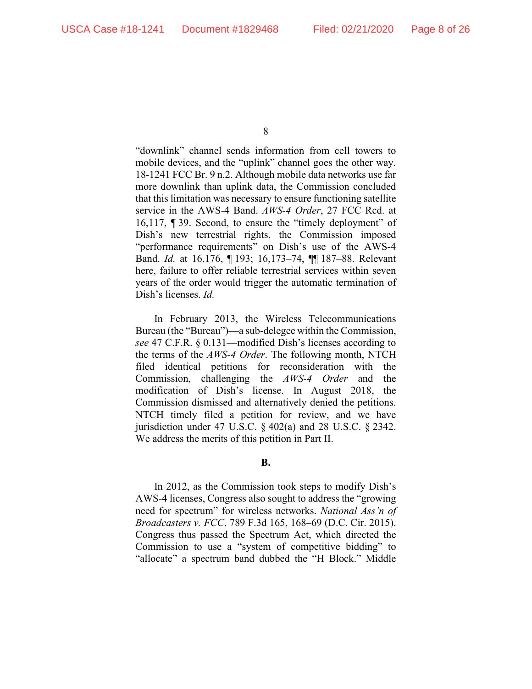"downlink" channel sends information from cell towers to mobile devices, and the "uplink" channel goes the other way. 18-1241 FCC Br. 9 n.2. Although mobile data networks use far more downlink than uplink data, the Commission concluded that this limitation was necessary to ensure functioning satellite service in the AWS-4 Band. *AWS-4 Order*, 27 FCC Rcd. at 16,117, ¶ 39. Second, to ensure the "timely deployment" of Dish's new terrestrial rights, the Commission imposed "performance requirements" on Dish's use of the AWS-4 Band. *Id.* at 16,176, ¶ 193; 16,173–74, ¶¶ 187–88. Relevant here, failure to offer reliable terrestrial services within seven years of the order would trigger the automatic termination of Dish's licenses. *Id.*

In February 2013, the Wireless Telecommunications Bureau (the "Bureau")—a sub-delegee within the Commission, *see* 47 C.F.R. § 0.131—modified Dish's licenses according to the terms of the *AWS-4 Order*. The following month, NTCH filed identical petitions for reconsideration with the Commission, challenging the *AWS-4 Order* and the modification of Dish's license. In August 2018, the Commission dismissed and alternatively denied the petitions. NTCH timely filed a petition for review, and we have jurisdiction under 47 U.S.C.  $\frac{6}{9}$  402(a) and 28 U.S.C.  $\frac{6}{9}$  2342. We address the merits of this petition in Part II.

**B.**

In 2012, as the Commission took steps to modify Dish's AWS-4 licenses, Congress also sought to address the "growing need for spectrum" for wireless networks. *National Ass'n of Broadcasters v. FCC*, 789 F.3d 165, 168–69 (D.C. Cir. 2015). Congress thus passed the Spectrum Act, which directed the Commission to use a "system of competitive bidding" to "allocate" a spectrum band dubbed the "H Block." Middle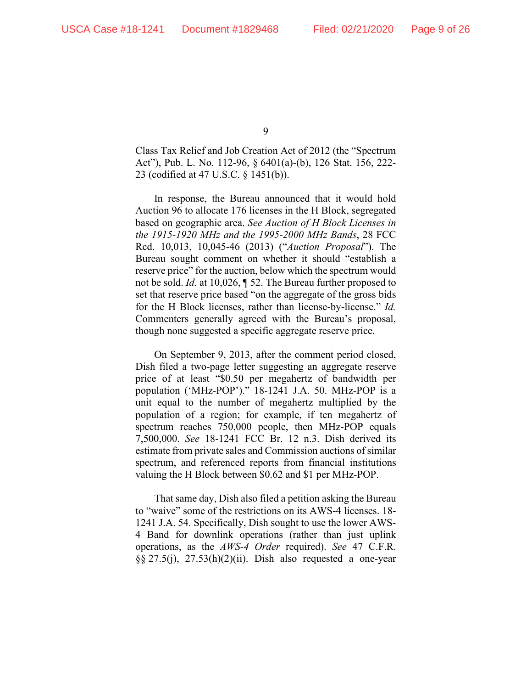Class Tax Relief and Job Creation Act of 2012 (the "Spectrum Act"), Pub. L. No. 112-96, § 6401(a)-(b), 126 Stat. 156, 222- 23 (codified at 47 U.S.C. § 1451(b)).

In response, the Bureau announced that it would hold Auction 96 to allocate 176 licenses in the H Block, segregated based on geographic area. *See Auction of H Block Licenses in the 1915-1920 MHz and the 1995-2000 MHz Bands*, 28 FCC Rcd. 10,013, 10,045-46 (2013) ("*Auction Proposal*"). The Bureau sought comment on whether it should "establish a reserve price" for the auction, below which the spectrum would not be sold. *Id.* at 10,026, ¶ 52. The Bureau further proposed to set that reserve price based "on the aggregate of the gross bids for the H Block licenses, rather than license-by-license." *Id.*  Commenters generally agreed with the Bureau's proposal, though none suggested a specific aggregate reserve price.

On September 9, 2013, after the comment period closed, Dish filed a two-page letter suggesting an aggregate reserve price of at least "\$0.50 per megahertz of bandwidth per population ('MHz-POP')." 18-1241 J.A. 50. MHz-POP is a unit equal to the number of megahertz multiplied by the population of a region; for example, if ten megahertz of spectrum reaches 750,000 people, then MHz-POP equals 7,500,000. *See* 18-1241 FCC Br. 12 n.3. Dish derived its estimate from private sales and Commission auctions of similar spectrum, and referenced reports from financial institutions valuing the H Block between \$0.62 and \$1 per MHz-POP.

That same day, Dish also filed a petition asking the Bureau to "waive" some of the restrictions on its AWS-4 licenses. 18- 1241 J.A. 54. Specifically, Dish sought to use the lower AWS-4 Band for downlink operations (rather than just uplink operations, as the *AWS-4 Order* required). *See* 47 C.F.R. §§ 27.5(j), 27.53(h)(2)(ii). Dish also requested a one-year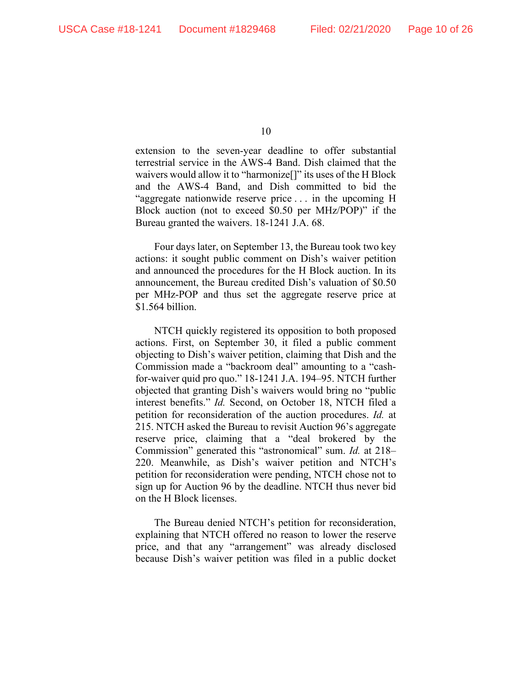extension to the seven-year deadline to offer substantial terrestrial service in the AWS-4 Band. Dish claimed that the waivers would allow it to "harmonize[]" its uses of the H Block and the AWS-4 Band, and Dish committed to bid the "aggregate nationwide reserve price . . . in the upcoming H Block auction (not to exceed \$0.50 per MHz/POP)" if the Bureau granted the waivers. 18-1241 J.A. 68.

Four days later, on September 13, the Bureau took two key actions: it sought public comment on Dish's waiver petition and announced the procedures for the H Block auction. In its announcement, the Bureau credited Dish's valuation of \$0.50 per MHz-POP and thus set the aggregate reserve price at \$1.564 billion.

NTCH quickly registered its opposition to both proposed actions. First, on September 30, it filed a public comment objecting to Dish's waiver petition, claiming that Dish and the Commission made a "backroom deal" amounting to a "cashfor-waiver quid pro quo." 18-1241 J.A. 194–95. NTCH further objected that granting Dish's waivers would bring no "public interest benefits." *Id.* Second, on October 18, NTCH filed a petition for reconsideration of the auction procedures. *Id.* at 215. NTCH asked the Bureau to revisit Auction 96's aggregate reserve price, claiming that a "deal brokered by the Commission" generated this "astronomical" sum. *Id.* at 218– 220. Meanwhile, as Dish's waiver petition and NTCH's petition for reconsideration were pending, NTCH chose not to sign up for Auction 96 by the deadline. NTCH thus never bid on the H Block licenses.

The Bureau denied NTCH's petition for reconsideration, explaining that NTCH offered no reason to lower the reserve price, and that any "arrangement" was already disclosed because Dish's waiver petition was filed in a public docket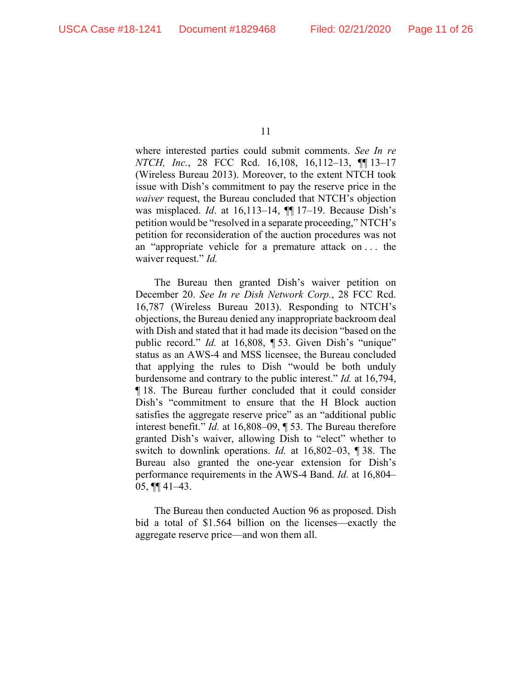where interested parties could submit comments. *See In re NTCH, Inc.*, 28 FCC Rcd. 16,108, 16,112–13, ¶¶ 13–17 (Wireless Bureau 2013). Moreover, to the extent NTCH took issue with Dish's commitment to pay the reserve price in the *waiver* request, the Bureau concluded that NTCH's objection was misplaced. *Id*. at 16,113–14, ¶¶ 17–19. Because Dish's petition would be "resolved in a separate proceeding," NTCH's petition for reconsideration of the auction procedures was not an "appropriate vehicle for a premature attack on . . . the waiver request." *Id.*

The Bureau then granted Dish's waiver petition on December 20. *See In re Dish Network Corp.*, 28 FCC Rcd. 16,787 (Wireless Bureau 2013). Responding to NTCH's objections, the Bureau denied any inappropriate backroom deal with Dish and stated that it had made its decision "based on the public record." *Id.* at 16,808, ¶ 53. Given Dish's "unique" status as an AWS-4 and MSS licensee, the Bureau concluded that applying the rules to Dish "would be both unduly burdensome and contrary to the public interest." *Id.* at 16,794, ¶ 18. The Bureau further concluded that it could consider Dish's "commitment to ensure that the H Block auction satisfies the aggregate reserve price" as an "additional public interest benefit." *Id.* at 16,808–09, ¶ 53. The Bureau therefore granted Dish's waiver, allowing Dish to "elect" whether to switch to downlink operations. *Id.* at 16,802–03, ¶ 38. The Bureau also granted the one-year extension for Dish's performance requirements in the AWS-4 Band. *Id.* at 16,804–  $05, \P\P$  41–43.

The Bureau then conducted Auction 96 as proposed. Dish bid a total of \$1.564 billion on the licenses—exactly the aggregate reserve price—and won them all.

<sup>11</sup>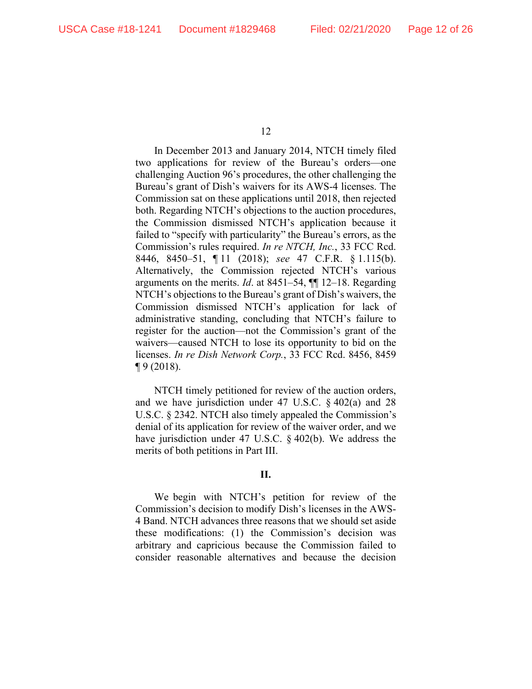In December 2013 and January 2014, NTCH timely filed two applications for review of the Bureau's orders—one challenging Auction 96's procedures, the other challenging the Bureau's grant of Dish's waivers for its AWS-4 licenses. The Commission sat on these applications until 2018, then rejected both. Regarding NTCH's objections to the auction procedures, the Commission dismissed NTCH's application because it failed to "specify with particularity" the Bureau's errors, as the Commission's rules required. *In re NTCH, Inc.*, 33 FCC Rcd. 8446, 8450–51, ¶ 11 (2018); *see* 47 C.F.R. § 1.115(b). Alternatively, the Commission rejected NTCH's various arguments on the merits. *Id*. at 8451–54, ¶¶ 12–18. Regarding NTCH's objections to the Bureau's grant of Dish's waivers, the Commission dismissed NTCH's application for lack of administrative standing, concluding that NTCH's failure to register for the auction—not the Commission's grant of the waivers—caused NTCH to lose its opportunity to bid on the licenses. *In re Dish Network Corp.*, 33 FCC Rcd. 8456, 8459 ¶ 9 (2018).

NTCH timely petitioned for review of the auction orders, and we have jurisdiction under 47 U.S.C. § 402(a) and 28 U.S.C. § 2342. NTCH also timely appealed the Commission's denial of its application for review of the waiver order, and we have jurisdiction under 47 U.S.C. § 402(b). We address the merits of both petitions in Part III.

### **II.**

We begin with NTCH's petition for review of the Commission's decision to modify Dish's licenses in the AWS-4 Band. NTCH advances three reasons that we should set aside these modifications: (1) the Commission's decision was arbitrary and capricious because the Commission failed to consider reasonable alternatives and because the decision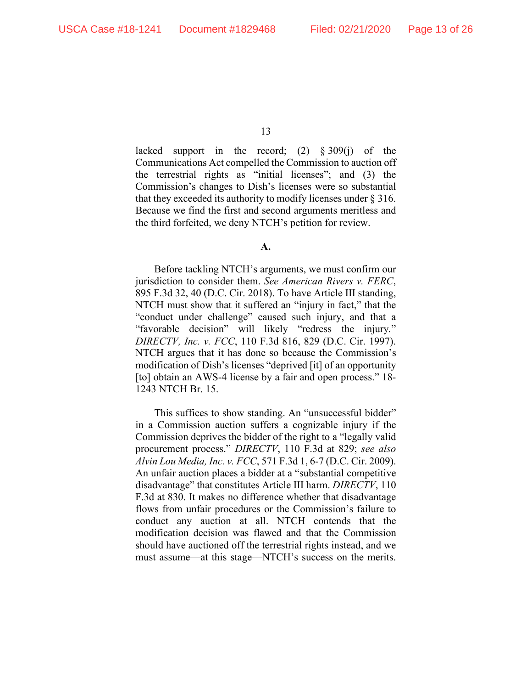lacked support in the record; (2) § 309(j) of the Communications Act compelled the Commission to auction off the terrestrial rights as "initial licenses"; and (3) the Commission's changes to Dish's licenses were so substantial that they exceeded its authority to modify licenses under § 316. Because we find the first and second arguments meritless and the third forfeited, we deny NTCH's petition for review.

#### **A.**

Before tackling NTCH's arguments, we must confirm our jurisdiction to consider them. *See American Rivers v. FERC*, 895 F.3d 32, 40 (D.C. Cir. 2018). To have Article III standing, NTCH must show that it suffered an "injury in fact," that the "conduct under challenge" caused such injury, and that a "favorable decision" will likely "redress the injury*.*" *DIRECTV, Inc. v. FCC*, 110 F.3d 816, 829 (D.C. Cir. 1997). NTCH argues that it has done so because the Commission's modification of Dish's licenses "deprived [it] of an opportunity [to] obtain an AWS-4 license by a fair and open process." 18-1243 NTCH Br. 15.

This suffices to show standing. An "unsuccessful bidder" in a Commission auction suffers a cognizable injury if the Commission deprives the bidder of the right to a "legally valid procurement process." *DIRECTV*, 110 F.3d at 829; *see also Alvin Lou Media, Inc. v. FCC*, 571 F.3d 1, 6-7 (D.C. Cir. 2009). An unfair auction places a bidder at a "substantial competitive disadvantage" that constitutes Article III harm. *DIRECTV*, 110 F.3d at 830. It makes no difference whether that disadvantage flows from unfair procedures or the Commission's failure to conduct any auction at all. NTCH contends that the modification decision was flawed and that the Commission should have auctioned off the terrestrial rights instead, and we must assume—at this stage—NTCH's success on the merits.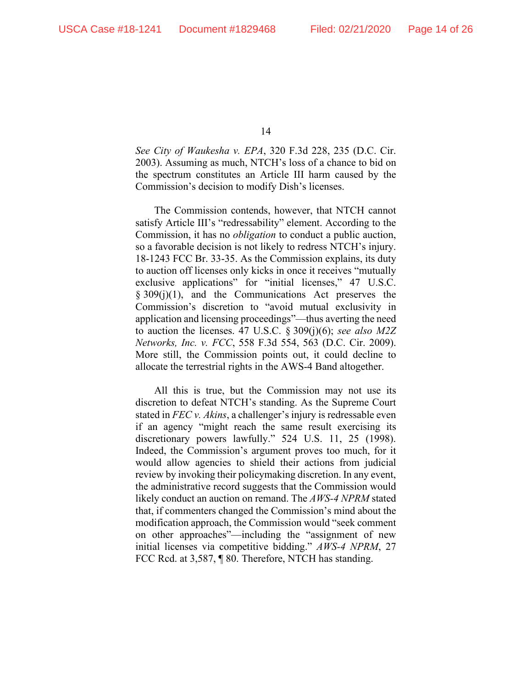*See City of Waukesha v. EPA*, 320 F.3d 228, 235 (D.C. Cir. 2003). Assuming as much, NTCH's loss of a chance to bid on the spectrum constitutes an Article III harm caused by the Commission's decision to modify Dish's licenses.

The Commission contends, however, that NTCH cannot satisfy Article III's "redressability" element. According to the Commission, it has no *obligation* to conduct a public auction, so a favorable decision is not likely to redress NTCH's injury. 18-1243 FCC Br. 33-35. As the Commission explains, its duty to auction off licenses only kicks in once it receives "mutually exclusive applications" for "initial licenses," 47 U.S.C.  $\S 309(i)(1)$ , and the Communications Act preserves the Commission's discretion to "avoid mutual exclusivity in application and licensing proceedings"—thus averting the need to auction the licenses. 47 U.S.C. § 309(j)(6); *see also M2Z Networks, Inc. v. FCC*, 558 F.3d 554, 563 (D.C. Cir. 2009). More still, the Commission points out, it could decline to allocate the terrestrial rights in the AWS-4 Band altogether.

All this is true, but the Commission may not use its discretion to defeat NTCH's standing. As the Supreme Court stated in *FEC v. Akins*, a challenger's injury is redressable even if an agency "might reach the same result exercising its discretionary powers lawfully." 524 U.S. 11, 25 (1998). Indeed, the Commission's argument proves too much, for it would allow agencies to shield their actions from judicial review by invoking their policymaking discretion. In any event, the administrative record suggests that the Commission would likely conduct an auction on remand. The *AWS-4 NPRM* stated that, if commenters changed the Commission's mind about the modification approach, the Commission would "seek comment on other approaches"—including the "assignment of new initial licenses via competitive bidding." *AWS-4 NPRM*, 27 FCC Rcd. at 3,587, ¶ 80. Therefore, NTCH has standing.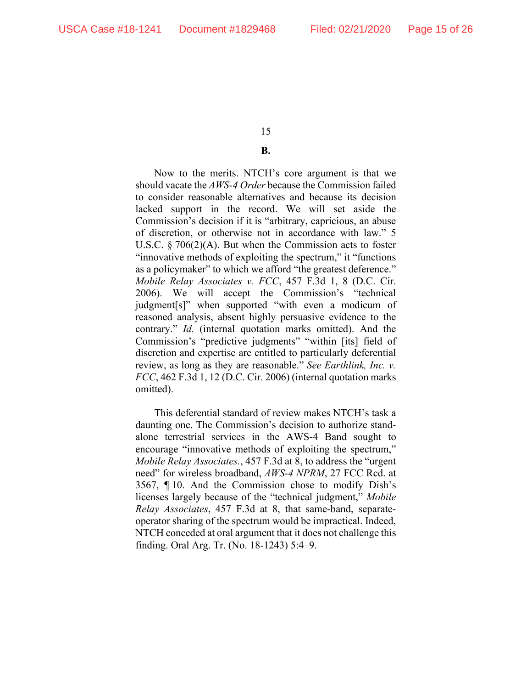# **B.**

Now to the merits. NTCH's core argument is that we should vacate the *AWS-4 Order* because the Commission failed to consider reasonable alternatives and because its decision lacked support in the record. We will set aside the Commission's decision if it is "arbitrary, capricious, an abuse of discretion, or otherwise not in accordance with law." 5 U.S.C. § 706(2)(A). But when the Commission acts to foster "innovative methods of exploiting the spectrum," it "functions as a policymaker" to which we afford "the greatest deference." *Mobile Relay Associates v. FCC*, 457 F.3d 1, 8 (D.C. Cir. 2006). We will accept the Commission's "technical judgment[s]" when supported "with even a modicum of reasoned analysis, absent highly persuasive evidence to the contrary." *Id.* (internal quotation marks omitted). And the Commission's "predictive judgments" "within [its] field of discretion and expertise are entitled to particularly deferential review, as long as they are reasonable." *See Earthlink, Inc. v. FCC*, 462 F.3d 1, 12 (D.C. Cir. 2006) (internal quotation marks omitted).

This deferential standard of review makes NTCH's task a daunting one. The Commission's decision to authorize standalone terrestrial services in the AWS-4 Band sought to encourage "innovative methods of exploiting the spectrum," *Mobile Relay Associates.*, 457 F.3d at 8, to address the "urgent need" for wireless broadband, *AWS-4 NPRM*, 27 FCC Rcd. at 3567, ¶ 10. And the Commission chose to modify Dish's licenses largely because of the "technical judgment," *Mobile Relay Associates*, 457 F.3d at 8, that same-band, separateoperator sharing of the spectrum would be impractical. Indeed, NTCH conceded at oral argument that it does not challenge this finding. Oral Arg. Tr. (No. 18-1243) 5:4–9.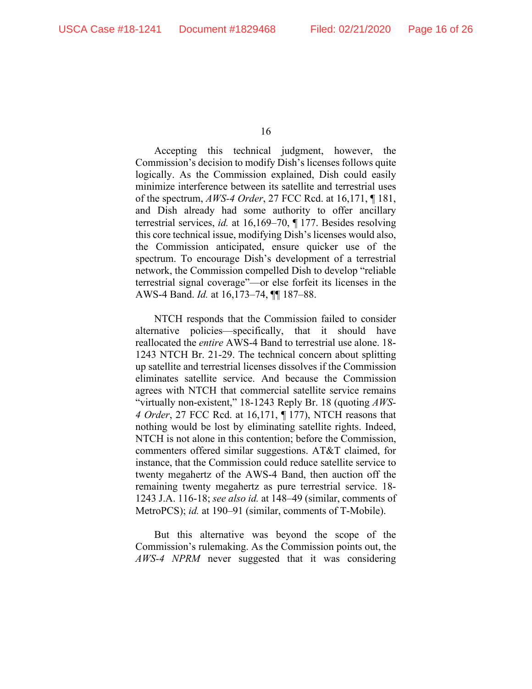Accepting this technical judgment, however, the Commission's decision to modify Dish's licenses follows quite logically. As the Commission explained, Dish could easily minimize interference between its satellite and terrestrial uses of the spectrum, *AWS-4 Order*, 27 FCC Rcd. at 16,171, ¶ 181, and Dish already had some authority to offer ancillary terrestrial services, *id.* at 16,169–70, ¶ 177. Besides resolving this core technical issue, modifying Dish's licenses would also, the Commission anticipated, ensure quicker use of the spectrum. To encourage Dish's development of a terrestrial network, the Commission compelled Dish to develop "reliable terrestrial signal coverage"—or else forfeit its licenses in the AWS-4 Band. *Id.* at 16,173–74, ¶¶ 187–88.

NTCH responds that the Commission failed to consider alternative policies—specifically, that it should have reallocated the *entire* AWS-4 Band to terrestrial use alone. 18- 1243 NTCH Br. 21-29. The technical concern about splitting up satellite and terrestrial licenses dissolves if the Commission eliminates satellite service. And because the Commission agrees with NTCH that commercial satellite service remains "virtually non-existent," 18-1243 Reply Br. 18 (quoting *AWS-4 Order*, 27 FCC Rcd. at 16,171, ¶ 177), NTCH reasons that nothing would be lost by eliminating satellite rights. Indeed, NTCH is not alone in this contention; before the Commission, commenters offered similar suggestions. AT&T claimed, for instance, that the Commission could reduce satellite service to twenty megahertz of the AWS-4 Band, then auction off the remaining twenty megahertz as pure terrestrial service. 18- 1243 J.A. 116-18; *see also id.* at 148–49 (similar, comments of MetroPCS); *id.* at 190–91 (similar, comments of T-Mobile).

But this alternative was beyond the scope of the Commission's rulemaking. As the Commission points out, the *AWS-4 NPRM* never suggested that it was considering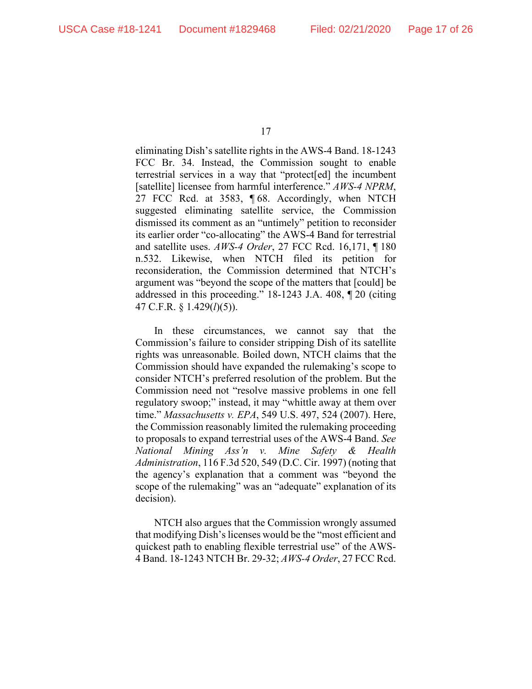eliminating Dish's satellite rights in the AWS-4 Band. 18-1243 FCC Br. 34. Instead, the Commission sought to enable terrestrial services in a way that "protect[ed] the incumbent [satellite] licensee from harmful interference." *AWS-4 NPRM*, 27 FCC Rcd. at 3583, ¶ 68. Accordingly, when NTCH suggested eliminating satellite service, the Commission dismissed its comment as an "untimely" petition to reconsider its earlier order "co-allocating" the AWS-4 Band for terrestrial and satellite uses. *AWS-4 Order*, 27 FCC Rcd. 16,171, ¶ 180 n.532. Likewise, when NTCH filed its petition for reconsideration, the Commission determined that NTCH's argument was "beyond the scope of the matters that [could] be addressed in this proceeding." 18-1243 J.A. 408, ¶ 20 (citing 47 C.F.R. § 1.429(*l*)(5)).

In these circumstances, we cannot say that the Commission's failure to consider stripping Dish of its satellite rights was unreasonable. Boiled down, NTCH claims that the Commission should have expanded the rulemaking's scope to consider NTCH's preferred resolution of the problem. But the Commission need not "resolve massive problems in one fell regulatory swoop;" instead, it may "whittle away at them over time." *Massachusetts v. EPA*, 549 U.S. 497, 524 (2007). Here, the Commission reasonably limited the rulemaking proceeding to proposals to expand terrestrial uses of the AWS-4 Band. *See National Mining Ass'n v. Mine Safety & Health Administration*, 116 F.3d 520, 549 (D.C. Cir. 1997) (noting that the agency's explanation that a comment was "beyond the scope of the rulemaking" was an "adequate" explanation of its decision).

NTCH also argues that the Commission wrongly assumed that modifying Dish's licenses would be the "most efficient and quickest path to enabling flexible terrestrial use" of the AWS-4 Band. 18-1243 NTCH Br. 29-32; *AWS-4 Order*, 27 FCC Rcd.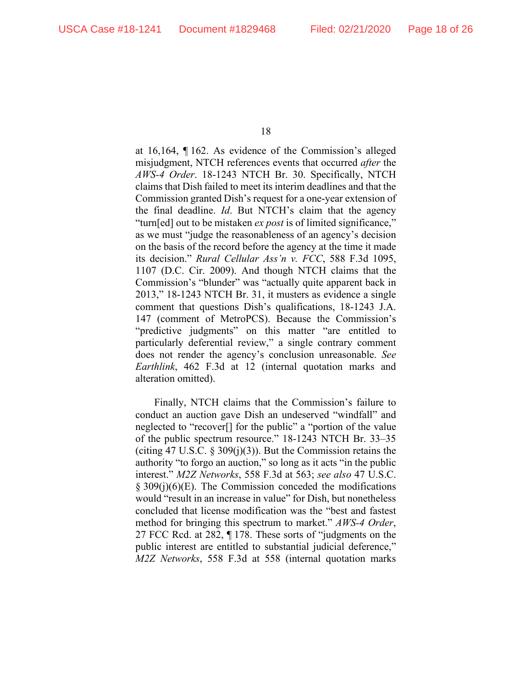at 16,164, ¶ 162. As evidence of the Commission's alleged misjudgment, NTCH references events that occurred *after* the *AWS-4 Order*. 18-1243 NTCH Br. 30. Specifically, NTCH claims that Dish failed to meet its interim deadlines and that the Commission granted Dish's request for a one-year extension of the final deadline. *Id*. But NTCH's claim that the agency "turn[ed] out to be mistaken *ex post* is of limited significance," as we must "judge the reasonableness of an agency's decision on the basis of the record before the agency at the time it made its decision." *Rural Cellular Ass'n v. FCC*, 588 F.3d 1095, 1107 (D.C. Cir. 2009). And though NTCH claims that the Commission's "blunder" was "actually quite apparent back in 2013," 18-1243 NTCH Br. 31, it musters as evidence a single comment that questions Dish's qualifications, 18-1243 J.A. 147 (comment of MetroPCS). Because the Commission's "predictive judgments" on this matter "are entitled to particularly deferential review," a single contrary comment does not render the agency's conclusion unreasonable. *See Earthlink*, 462 F.3d at 12 (internal quotation marks and alteration omitted).

Finally, NTCH claims that the Commission's failure to conduct an auction gave Dish an undeserved "windfall" and neglected to "recover[] for the public" a "portion of the value of the public spectrum resource." 18-1243 NTCH Br. 33–35 (citing 47 U.S.C.  $\S 309(i)(3)$ ). But the Commission retains the authority "to forgo an auction," so long as it acts "in the public interest." *M2Z Networks*, 558 F.3d at 563; *see also* 47 U.S.C. § 309(j)(6)(E). The Commission conceded the modifications would "result in an increase in value" for Dish, but nonetheless concluded that license modification was the "best and fastest method for bringing this spectrum to market." *AWS-4 Order*, 27 FCC Rcd. at 282, ¶ 178. These sorts of "judgments on the public interest are entitled to substantial judicial deference," *M2Z Networks*, 558 F.3d at 558 (internal quotation marks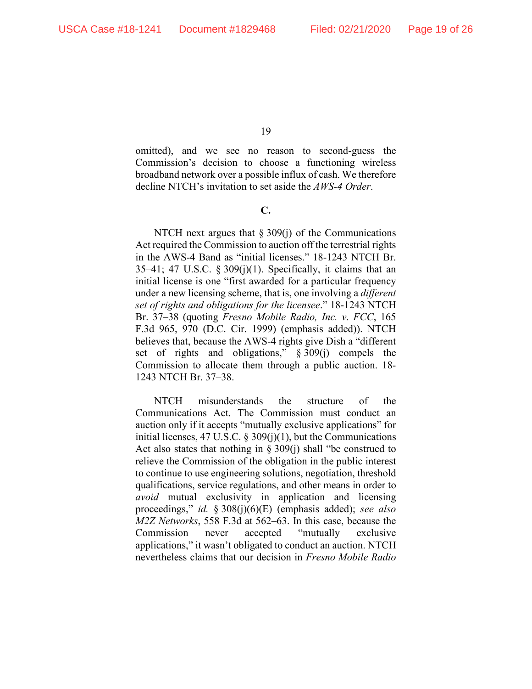omitted), and we see no reason to second-guess the Commission's decision to choose a functioning wireless broadband network over a possible influx of cash. We therefore decline NTCH's invitation to set aside the *AWS-4 Order*.

**C.** 

NTCH next argues that  $\S 309(i)$  of the Communications Act required the Commission to auction off the terrestrial rights in the AWS-4 Band as "initial licenses." 18-1243 NTCH Br.  $35-41$ ; 47 U.S.C. § 309(j)(1). Specifically, it claims that an initial license is one "first awarded for a particular frequency under a new licensing scheme, that is, one involving a *different set of rights and obligations for the licensee*." 18-1243 NTCH Br. 37–38 (quoting *Fresno Mobile Radio, Inc. v. FCC*, 165 F.3d 965, 970 (D.C. Cir. 1999) (emphasis added)). NTCH believes that, because the AWS-4 rights give Dish a "different set of rights and obligations," § 309(j) compels the Commission to allocate them through a public auction. 18- 1243 NTCH Br. 37–38.

NTCH misunderstands the structure of the Communications Act. The Commission must conduct an auction only if it accepts "mutually exclusive applications" for initial licenses, 47 U.S.C.  $\S 309(j)(1)$ , but the Communications Act also states that nothing in  $\S 309(j)$  shall "be construed to relieve the Commission of the obligation in the public interest to continue to use engineering solutions, negotiation, threshold qualifications, service regulations, and other means in order to *avoid* mutual exclusivity in application and licensing proceedings," *id.* § 308(j)(6)(E) (emphasis added); *see also M2Z Networks*, 558 F.3d at 562–63. In this case, because the Commission never accepted "mutually exclusive applications," it wasn't obligated to conduct an auction. NTCH nevertheless claims that our decision in *Fresno Mobile Radio*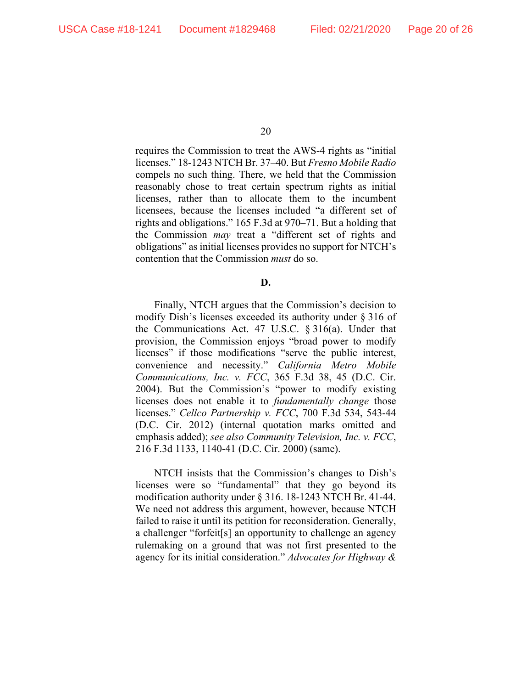requires the Commission to treat the AWS-4 rights as "initial licenses." 18-1243 NTCH Br. 37–40. But *Fresno Mobile Radio*  compels no such thing. There, we held that the Commission reasonably chose to treat certain spectrum rights as initial licenses, rather than to allocate them to the incumbent licensees, because the licenses included "a different set of rights and obligations." 165 F.3d at 970–71. But a holding that the Commission *may* treat a "different set of rights and obligations" as initial licenses provides no support for NTCH's contention that the Commission *must* do so.

**D.** 

Finally, NTCH argues that the Commission's decision to modify Dish's licenses exceeded its authority under § 316 of the Communications Act. 47 U.S.C. § 316(a). Under that provision, the Commission enjoys "broad power to modify licenses" if those modifications "serve the public interest, convenience and necessity." *California Metro Mobile Communications, Inc. v. FCC*, 365 F.3d 38, 45 (D.C. Cir. 2004). But the Commission's "power to modify existing licenses does not enable it to *fundamentally change* those licenses." *Cellco Partnership v. FCC*, 700 F.3d 534, 543-44 (D.C. Cir. 2012) (internal quotation marks omitted and emphasis added); *see also Community Television, Inc. v. FCC*, 216 F.3d 1133, 1140-41 (D.C. Cir. 2000) (same).

NTCH insists that the Commission's changes to Dish's licenses were so "fundamental" that they go beyond its modification authority under § 316. 18-1243 NTCH Br. 41-44. We need not address this argument, however, because NTCH failed to raise it until its petition for reconsideration. Generally, a challenger "forfeit[s] an opportunity to challenge an agency rulemaking on a ground that was not first presented to the agency for its initial consideration." *Advocates for Highway &*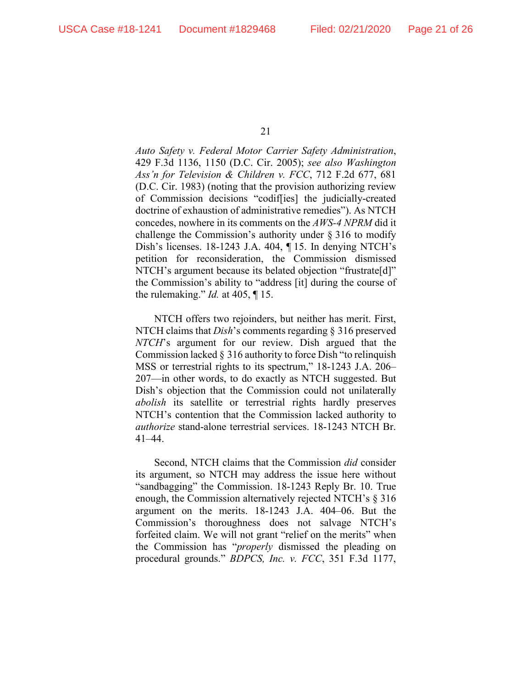*Auto Safety v. Federal Motor Carrier Safety Administration*, 429 F.3d 1136, 1150 (D.C. Cir. 2005); *see also Washington Ass'n for Television & Children v. FCC*, 712 F.2d 677, 681 (D.C. Cir. 1983) (noting that the provision authorizing review of Commission decisions "codif[ies] the judicially-created doctrine of exhaustion of administrative remedies"). As NTCH concedes, nowhere in its comments on the *AWS-4 NPRM* did it challenge the Commission's authority under § 316 to modify Dish's licenses. 18-1243 J.A. 404, ¶ 15. In denying NTCH's petition for reconsideration, the Commission dismissed NTCH's argument because its belated objection "frustrate[d]" the Commission's ability to "address [it] during the course of the rulemaking." *Id.* at 405, ¶ 15.

NTCH offers two rejoinders, but neither has merit. First, NTCH claims that *Dish*'s comments regarding § 316 preserved *NTCH*'s argument for our review. Dish argued that the Commission lacked § 316 authority to force Dish "to relinquish MSS or terrestrial rights to its spectrum," 18-1243 J.A. 206– 207—in other words, to do exactly as NTCH suggested. But Dish's objection that the Commission could not unilaterally *abolish* its satellite or terrestrial rights hardly preserves NTCH's contention that the Commission lacked authority to *authorize* stand-alone terrestrial services. 18-1243 NTCH Br. 41–44.

Second, NTCH claims that the Commission *did* consider its argument, so NTCH may address the issue here without "sandbagging" the Commission. 18-1243 Reply Br. 10. True enough, the Commission alternatively rejected NTCH's § 316 argument on the merits. 18-1243 J.A. 404–06. But the Commission's thoroughness does not salvage NTCH's forfeited claim. We will not grant "relief on the merits" when the Commission has "*properly* dismissed the pleading on procedural grounds." *BDPCS, Inc. v. FCC*, 351 F.3d 1177,

<sup>21</sup>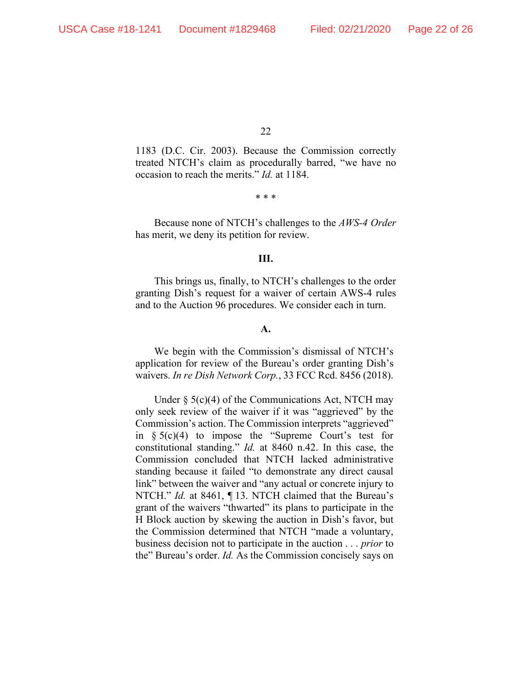1183 (D.C. Cir. 2003). Because the Commission correctly treated NTCH's claim as procedurally barred, "we have no occasion to reach the merits." *Id.* at 1184.

\* \* \*

Because none of NTCH's challenges to the *AWS-4 Order*  has merit, we deny its petition for review.

#### **III.**

This brings us, finally, to NTCH's challenges to the order granting Dish's request for a waiver of certain AWS-4 rules and to the Auction 96 procedures. We consider each in turn.

## **A.**

We begin with the Commission's dismissal of NTCH's application for review of the Bureau's order granting Dish's waivers. *In re Dish Network Corp.*, 33 FCC Rcd. 8456 (2018).

Under § 5(c)(4) of the Communications Act, NTCH may only seek review of the waiver if it was "aggrieved" by the Commission's action. The Commission interprets "aggrieved" in  $\S 5(c)(4)$  to impose the "Supreme Court's test for constitutional standing." *Id.* at 8460 n.42. In this case, the Commission concluded that NTCH lacked administrative standing because it failed "to demonstrate any direct causal link" between the waiver and "any actual or concrete injury to NTCH." *Id.* at 8461, ¶ 13. NTCH claimed that the Bureau's grant of the waivers "thwarted" its plans to participate in the H Block auction by skewing the auction in Dish's favor, but the Commission determined that NTCH "made a voluntary, business decision not to participate in the auction . . . *prior* to the" Bureau's order. *Id.* As the Commission concisely says on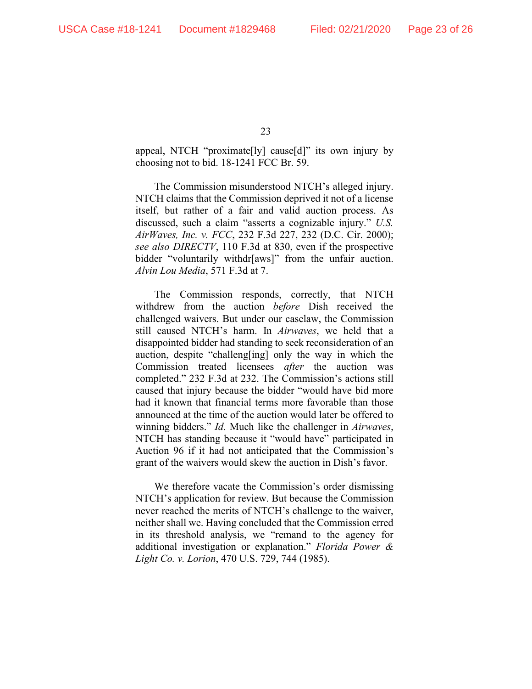appeal, NTCH "proximate[ly] cause[d]" its own injury by choosing not to bid. 18-1241 FCC Br. 59.

The Commission misunderstood NTCH's alleged injury. NTCH claims that the Commission deprived it not of a license itself, but rather of a fair and valid auction process. As discussed, such a claim "asserts a cognizable injury." *U.S. AirWaves, Inc. v. FCC*, 232 F.3d 227, 232 (D.C. Cir. 2000); *see also DIRECTV*, 110 F.3d at 830, even if the prospective bidder "voluntarily withdr[aws]" from the unfair auction. *Alvin Lou Media*, 571 F.3d at 7.

The Commission responds, correctly, that NTCH withdrew from the auction *before* Dish received the challenged waivers. But under our caselaw, the Commission still caused NTCH's harm. In *Airwaves*, we held that a disappointed bidder had standing to seek reconsideration of an auction, despite "challeng[ing] only the way in which the Commission treated licensees *after* the auction was completed." 232 F.3d at 232. The Commission's actions still caused that injury because the bidder "would have bid more had it known that financial terms more favorable than those announced at the time of the auction would later be offered to winning bidders." *Id.* Much like the challenger in *Airwaves*, NTCH has standing because it "would have" participated in Auction 96 if it had not anticipated that the Commission's grant of the waivers would skew the auction in Dish's favor.

We therefore vacate the Commission's order dismissing NTCH's application for review. But because the Commission never reached the merits of NTCH's challenge to the waiver, neither shall we. Having concluded that the Commission erred in its threshold analysis, we "remand to the agency for additional investigation or explanation." *Florida Power & Light Co. v. Lorion*, 470 U.S. 729, 744 (1985).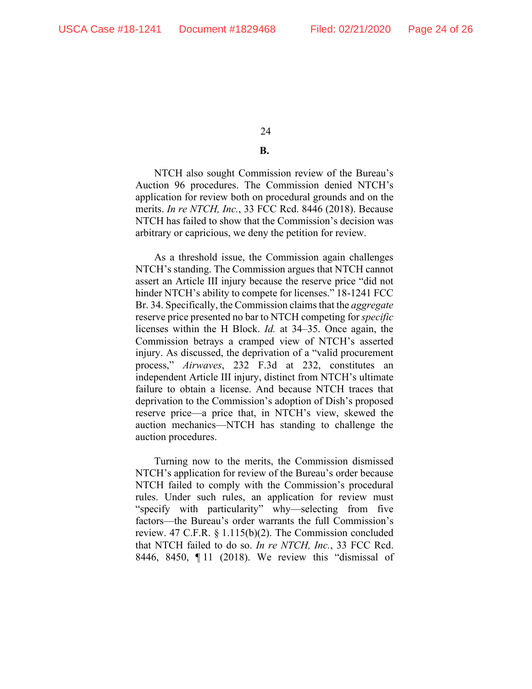# **B.**

NTCH also sought Commission review of the Bureau's Auction 96 procedures. The Commission denied NTCH's application for review both on procedural grounds and on the merits. *In re NTCH, Inc.*, 33 FCC Rcd. 8446 (2018). Because NTCH has failed to show that the Commission's decision was arbitrary or capricious, we deny the petition for review.

As a threshold issue, the Commission again challenges NTCH's standing. The Commission argues that NTCH cannot assert an Article III injury because the reserve price "did not hinder NTCH's ability to compete for licenses." 18-1241 FCC Br. 34. Specifically, the Commission claims that the *aggregate*  reserve price presented no bar to NTCH competing for *specific*  licenses within the H Block. *Id.* at 34–35. Once again, the Commission betrays a cramped view of NTCH's asserted injury. As discussed, the deprivation of a "valid procurement process," *Airwaves*, 232 F.3d at 232, constitutes an independent Article III injury, distinct from NTCH's ultimate failure to obtain a license. And because NTCH traces that deprivation to the Commission's adoption of Dish's proposed reserve price—a price that, in NTCH's view, skewed the auction mechanics—NTCH has standing to challenge the auction procedures.

Turning now to the merits, the Commission dismissed NTCH's application for review of the Bureau's order because NTCH failed to comply with the Commission's procedural rules. Under such rules, an application for review must "specify with particularity" why—selecting from five factors—the Bureau's order warrants the full Commission's review. 47 C.F.R. § 1.115(b)(2). The Commission concluded that NTCH failed to do so. *In re NTCH, Inc.*, 33 FCC Rcd. 8446, 8450, ¶ 11 (2018). We review this "dismissal of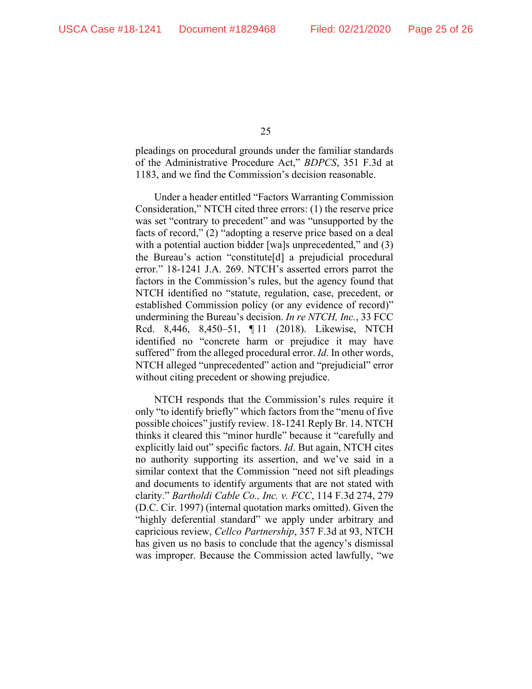pleadings on procedural grounds under the familiar standards of the Administrative Procedure Act," *BDPCS*, 351 F.3d at 1183, and we find the Commission's decision reasonable.

Under a header entitled "Factors Warranting Commission Consideration," NTCH cited three errors: (1) the reserve price was set "contrary to precedent" and was "unsupported by the facts of record," (2) "adopting a reserve price based on a deal with a potential auction bidder [wa]s unprecedented," and (3) the Bureau's action "constitute[d] a prejudicial procedural error." 18-1241 J.A. 269. NTCH's asserted errors parrot the factors in the Commission's rules, but the agency found that NTCH identified no "statute, regulation, case, precedent, or established Commission policy (or any evidence of record)" undermining the Bureau's decision. *In re NTCH, Inc.*, 33 FCC Rcd. 8,446, 8,450–51, ¶ 11 (2018). Likewise, NTCH identified no "concrete harm or prejudice it may have suffered" from the alleged procedural error. *Id*. In other words, NTCH alleged "unprecedented" action and "prejudicial" error without citing precedent or showing prejudice.

NTCH responds that the Commission's rules require it only "to identify briefly" which factors from the "menu of five possible choices" justify review. 18-1241 Reply Br. 14. NTCH thinks it cleared this "minor hurdle" because it "carefully and explicitly laid out" specific factors. *Id*. But again, NTCH cites no authority supporting its assertion, and we've said in a similar context that the Commission "need not sift pleadings and documents to identify arguments that are not stated with clarity." *Bartholdi Cable Co., Inc. v. FCC*, 114 F.3d 274, 279 (D.C. Cir. 1997) (internal quotation marks omitted). Given the "highly deferential standard" we apply under arbitrary and capricious review, *Cellco Partnership*, 357 F.3d at 93, NTCH has given us no basis to conclude that the agency's dismissal was improper. Because the Commission acted lawfully, "we